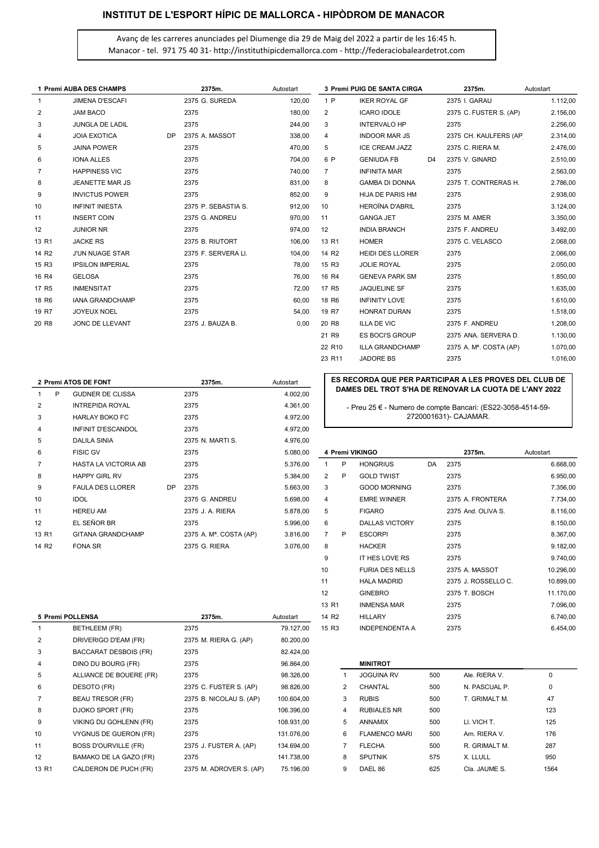# INSTITUT DE L'ESPORT HÍPIC DE MALLORCA - HIPÒDROM DE MANACOR

Avanç de les carreres anunciades pel Diumenge dia 29 de Maig del 2022 a partir de les 16:45 h. Manacor - tel. 971 75 40 31- http://instituthipicdemallorca.com - http://federaciobaleardetrot.com

|                   | 1 Premi AUBA DES CHAMPS |           | 2375m.              | Autostart |                   | <b>3 Premi PUIG DE SANTA CIRGA</b> |                | 2375m.                 | Autostart |
|-------------------|-------------------------|-----------|---------------------|-----------|-------------------|------------------------------------|----------------|------------------------|-----------|
|                   | <b>JIMENA D'ESCAFI</b>  |           | 2375 G. SUREDA      | 120,00    | 1 P               | <b>IKER ROYAL GF</b>               |                | 2375 I. GARAU          | 1.112,00  |
| 2                 | <b>JAM BACO</b>         |           | 2375                | 180,00    | 2                 | <b>ICARO IDOLE</b>                 |                | 2375 C. FUSTER S. (AP) | 2.156,00  |
| 3                 | <b>JUNGLA DE LADIL</b>  |           | 2375                | 244,00    | 3                 | <b>INTERVALO HP</b>                |                | 2375                   | 2.256,00  |
| 4                 | <b>JOIA EXOTICA</b>     | <b>DP</b> | 2375 A. MASSOT      | 338,00    | $\overline{4}$    | <b>INDOOR MAR JS</b>               |                | 2375 CH. KAULFERS (AP) | 2.314,00  |
| 5                 | <b>JAINA POWER</b>      |           | 2375                | 470,00    | 5                 | <b>ICE CREAM JAZZ</b>              |                | 2375 C. RIERA M.       | 2.476,00  |
| 6                 | <b>IONA ALLES</b>       |           | 2375                | 704.00    | 6 P               | <b>GENIUDA FB</b>                  | D <sub>4</sub> | 2375 V. GINARD         | 2.510,00  |
| 7                 | <b>HAPPINESS VIC</b>    |           | 2375                | 740,00    | 7                 | <b>INFINITA MAR</b>                |                | 2375                   | 2.563,00  |
| 8                 | JEANETTE MAR JS         |           | 2375                | 831,00    | 8                 | <b>GAMBA DI DONNA</b>              |                | 2375 T. CONTRERAS H.   | 2.786,00  |
| 9                 | <b>INVICTUS POWER</b>   |           | 2375                | 852,00    | 9                 | <b>HIJA DE PARIS HM</b>            |                | 2375                   | 2.938,00  |
| 10                | <b>INFINIT INIESTA</b>  |           | 2375 P. SEBASTIA S. | 912,00    | 10                | <b>HEROÏNA D'ABRIL</b>             |                | 2375                   | 3.124,00  |
| 11                | <b>INSERT COIN</b>      |           | 2375 G. ANDREU      | 970,00    | 11                | <b>GANGA JET</b>                   |                | 2375 M. AMER           | 3.350,00  |
| 12                | <b>JUNIOR NR</b>        |           | 2375                | 974,00    | 12                | <b>INDIA BRANCH</b>                |                | 2375 F. ANDREU         | 3.492,00  |
| 13 R1             | <b>JACKE RS</b>         |           | 2375 B. RIUTORT     | 106,00    | 13 R1             | <b>HOMER</b>                       |                | 2375 C. VELASCO        | 2.068,00  |
| 14 R <sub>2</sub> | <b>J'UN NUAGE STAR</b>  |           | 2375 F. SERVERA LI. | 104,00    | 14 R <sub>2</sub> | <b>HEIDI DES LLORER</b>            |                | 2375                   | 2.066,00  |
| 15 R3             | <b>IPSILON IMPERIAL</b> |           | 2375                | 78,00     | 15 R3             | <b>JOLIE ROYAL</b>                 |                | 2375                   | 2.050,00  |
| 16 R4             | <b>GELOSA</b>           |           | 2375                | 76.00     | 16 R4             | <b>GENEVA PARK SM</b>              |                | 2375                   | 1.850,00  |
| 17 R <sub>5</sub> | <b>INMENSITAT</b>       |           | 2375                | 72,00     | 17 R <sub>5</sub> | <b>JAQUELINE SF</b>                |                | 2375                   | 1.635,00  |
| 18 R6             | <b>IANA GRANDCHAMP</b>  |           | 2375                | 60,00     | 18 R <sub>6</sub> | <b>INFINITY LOVE</b>               |                | 2375                   | 1.610,00  |
| 19 R7             | <b>JOYEUX NOEL</b>      |           | 2375                | 54,00     | 19 R7             | <b>HONRAT DURAN</b>                |                | 2375                   | 1.518,00  |
| 20 R8             | JONC DE LLEVANT         |           | 2375 J. BAUZA B.    | 0,00      | 20 R <sub>8</sub> | <b>ILLA DE VIC</b>                 |                | 2375 F. ANDREU         | 1.208,00  |
|                   |                         |           |                     |           | 21 R9             | <b>ES BOCI'S GROUP</b>             |                | 2375 ANA, SERVERA D.   | 1.130,00  |

| 2 Premi ATOS DE FONT |                          | 2375m.    | Autostart                           |           | ES RECORDA QUE PER PARTICIPAR A LES PROVES DEL CLUB DE |                                                                                      |                       |    |                    |           |
|----------------------|--------------------------|-----------|-------------------------------------|-----------|--------------------------------------------------------|--------------------------------------------------------------------------------------|-----------------------|----|--------------------|-----------|
| P                    | <b>GUDNER DE CLISSA</b>  |           | 2375                                | 4.002,00  |                                                        | DAMES DEL TROT S'HA DE RENOVAR LA CUOTA DE L'ANY 2022                                |                       |    |                    |           |
| $\overline{2}$       | <b>INTREPIDA ROYAL</b>   |           | 2375                                | 4.361,00  |                                                        | - Preu 25 € - Numero de compte Bancari: (ES22-3058-4514-59-<br>2720001631)- CAJAMAR. |                       |    |                    |           |
| 3                    | <b>HARLAY BOKO FC</b>    |           | 2375                                | 4.972,00  |                                                        |                                                                                      |                       |    |                    |           |
| 4                    | INFINIT D'ESCANDOL       |           | 2375                                | 4.972,00  |                                                        |                                                                                      |                       |    |                    |           |
| 5                    | <b>DALILA SINIA</b>      |           | 2375 N. MARTI S.                    | 4.976,00  |                                                        |                                                                                      |                       |    |                    |           |
| 6                    | <b>FISIC GV</b>          |           | 2375                                | 5.080,00  |                                                        |                                                                                      | 4 Premi VIKINGO       |    | 2375m.             | Autostart |
|                      | HASTA LA VICTORIA AB     |           | 2375                                | 5.376.00  |                                                        | P                                                                                    | <b>HONGRIUS</b>       | DA | 2375               | 6.668,00  |
| 8                    | <b>HAPPY GIRL RV</b>     |           | 2375                                | 5.384,00  | 2                                                      | P                                                                                    | <b>GOLD TWIST</b>     |    | 2375               | 6.950,00  |
| 9                    | <b>FAULA DES LLORER</b>  | <b>DP</b> | 2375                                | 5.663,00  | 3                                                      |                                                                                      | <b>GOOD MORNING</b>   |    | 2375               | 7.356,00  |
| 10                   | <b>IDOL</b>              |           | 2375 G. ANDREU                      | 5.698,00  | 4                                                      |                                                                                      | <b>EMRE WINNER</b>    |    | 2375 A. FRONTERA   | 7.734,00  |
| 11                   | <b>HEREU AM</b>          |           | 2375 J. A. RIERA                    | 5.878,00  | 5                                                      |                                                                                      | <b>FIGARO</b>         |    | 2375 And, OLIVA S. | 8.116,00  |
| 12                   | EL SEÑOR BR              |           | 2375                                | 5.996,00  | 6                                                      |                                                                                      | <b>DALLAS VICTORY</b> |    | 2375               | 8.150,00  |
| 13 R1                | <b>GITANA GRANDCHAMP</b> |           | 2375 A. M <sup>a</sup> . COSTA (AP) | 3.816,00  | $\overline{7}$                                         | P                                                                                    | <b>ESCORPI</b>        |    | 2375               | 8.367,00  |
| 14 R <sub>2</sub>    | FONA SR                  |           | 2375 G RIFRA                        | 3 0 76 00 | 8                                                      |                                                                                      | <b>HACKER</b>         |    | 2375               | 9 182 00  |

#### ES RECORDA QUE PER PARTICIPAR A LES PROVES DEL CLUB DE DAMES DEL TROT S'HA DE RENOVAR LA CUOTA DE L'ANY 2022

22 R10 ILLA GRANDCHAMP 2375 A. Mª. COSTA (AP) 1.070,00 23 R11 JADORE BS 2375 2375 1.016,00

| 6                 | <b>FISIC GV</b>             |           | 2375                                | 5.080,00  |                   |   | 4 Premi VIKINGO        |    | 2375m.              | Autostart |
|-------------------|-----------------------------|-----------|-------------------------------------|-----------|-------------------|---|------------------------|----|---------------------|-----------|
| 7                 | <b>HASTA LA VICTORIA AB</b> |           | 2375                                | 5.376,00  |                   | P | <b>HONGRIUS</b>        | DA | 2375                | 6.668,00  |
| 8                 | <b>HAPPY GIRL RV</b>        |           | 2375                                | 5.384,00  | 2                 | P | <b>GOLD TWIST</b>      |    | 2375                | 6.950,00  |
| 9                 | <b>FAULA DES LLORER</b>     | <b>DP</b> | 2375                                | 5.663,00  | 3                 |   | <b>GOOD MORNING</b>    |    | 2375                | 7.356,00  |
| 10                | <b>IDOL</b>                 |           | 2375 G. ANDREU                      | 5.698,00  | 4                 |   | <b>EMRE WINNER</b>     |    | 2375 A. FRONTERA    | 7.734,00  |
| 11                | <b>HEREU AM</b>             |           | 2375 J. A. RIERA                    | 5.878,00  | 5                 |   | <b>FIGARO</b>          |    | 2375 And. OLIVA S.  | 8.116,00  |
| 12                | EL SEÑOR BR                 |           | 2375                                | 5.996,00  | 6                 |   | <b>DALLAS VICTORY</b>  |    | 2375                | 8.150,00  |
| 13 R1             | <b>GITANA GRANDCHAMP</b>    |           | 2375 A. M <sup>a</sup> . COSTA (AP) | 3.816,00  | $\overline{7}$    | P | <b>ESCORPI</b>         |    | 2375                | 8.367,00  |
| 14 R <sub>2</sub> | FONA SR                     |           | 2375 G. RIERA                       | 3.076,00  | 8                 |   | <b>HACKER</b>          |    | 2375                | 9.182,00  |
|                   |                             |           |                                     |           | 9                 |   | IT HES LOVE RS         |    | 2375                | 9.740,00  |
|                   |                             |           |                                     |           | 10                |   | <b>FURIA DES NELLS</b> |    | 2375 A. MASSOT      | 10.296,00 |
|                   |                             |           |                                     |           | 11                |   | <b>HALA MADRID</b>     |    | 2375 J. ROSSELLO C. | 10.899,00 |
|                   |                             |           |                                     |           | 12                |   | <b>GINEBRO</b>         |    | 2375 T. BOSCH       | 11.170,00 |
|                   |                             |           |                                     |           | 13 R1             |   | <b>INMENSA MAR</b>     |    | 2375                | 7.096,00  |
|                   | 5 Premi POLLENSA            |           | 2375m.                              | Autostart | 14 R <sub>2</sub> |   | <b>HILLARY</b>         |    | 2375                | 6.740,00  |
|                   | <b>BETHLEEM (FR)</b>        |           | 2375                                | 79.127,00 | 15 R3             |   | <b>INDEPENDENTA A</b>  |    | 2375                | 6.454,00  |

|   | <b>MINITROT</b>      |     |               |      |
|---|----------------------|-----|---------------|------|
| 1 | <b>JOGUINA RV</b>    | 500 | Ale. RIERA V. | 0    |
| 2 | CHANTAL              | 500 | N. PASCUAL P. | 0    |
| 3 | <b>RUBIS</b>         | 500 | T. GRIMALT M. | 47   |
| 4 | <b>RUBIALES NR</b>   | 500 |               | 123  |
| 5 | <b>ANNAMIX</b>       | 500 | LI. VICH T.   | 125  |
| 6 | <b>FLAMENCO MARI</b> | 500 | Arn. RIERA V. | 176  |
| 7 | <b>FLECHA</b>        | 500 | R. GRIMALT M. | 287  |
| 8 | <b>SPUTNIK</b>       | 575 | X. LLULL      | 950  |
| 9 | DAEL 86              | 625 | Cla. JAUME S. | 1564 |

|                | 5 Premi POLLENSA             | 2375m.                  | Autostart  | 14 R <sub>2</sub> |              | <b>HILLARY</b>        |     | 2375          | 6.740,00 |
|----------------|------------------------------|-------------------------|------------|-------------------|--------------|-----------------------|-----|---------------|----------|
|                | <b>BETHLEEM (FR)</b>         | 2375                    | 79.127,00  | 15 R <sub>3</sub> |              | <b>INDEPENDENTA A</b> |     | 2375          | 6.454,00 |
| 2              | DRIVERIGO D'EAM (FR)         | 2375 M. RIERA G. (AP)   | 80.200,00  |                   |              |                       |     |               |          |
| 3              | <b>BACCARAT DESBOIS (FR)</b> | 2375                    | 82.424,00  |                   |              |                       |     |               |          |
| 4              | DINO DU BOURG (FR)           | 2375                    | 96.864,00  |                   |              | <b>MINITROT</b>       |     |               |          |
| 5              | ALLIANCE DE BOUERE (FR)      | 2375                    | 98.326,00  |                   |              | <b>JOGUINA RV</b>     | 500 | Ale. RIERA V. | 0        |
| 6              | DESOTO (FR)                  | 2375 C. FUSTER S. (AP)  | 98.826,00  |                   | $\mathbf{2}$ | CHANTAL               | 500 | N. PASCUAL P. | 0        |
| $\overline{7}$ | <b>BEAU TRESOR (FR)</b>      | 2375 B. NICOLAU S. (AP) | 100.604,00 | 3                 |              | <b>RUBIS</b>          | 500 | T. GRIMALT M. | 47       |
| 8              | DJOKO SPORT (FR)             | 2375                    | 106.396,00 |                   | 4            | <b>RUBIALES NR</b>    | 500 |               | 123      |
| 9              | VIKING DU GOHLENN (FR)       | 2375                    | 108.931.00 |                   | 5            | <b>ANNAMIX</b>        | 500 | LI. VICH T.   | 125      |
| 10             | VYGNUS DE GUERON (FR)        | 2375                    | 131.076.00 | 6                 |              | <b>FLAMENCO MARI</b>  | 500 | Arn. RIERA V. | 176      |
| 11             | <b>BOSS D'OURVILLE (FR)</b>  | 2375 J. FUSTER A. (AP)  | 134.694.00 |                   |              | <b>FLECHA</b>         | 500 | R. GRIMALT M. | 287      |
| 12             | BAMAKO DE LA GAZO (FR)       | 2375                    | 141.738,00 | 8                 |              | <b>SPUTNIK</b>        | 575 | X. LLULL      | 950      |
| 13 R1          | CALDERON DE PUCH (FR)        | 2375 M. ADROVER S. (AP) | 75.196,00  | 9                 |              | DAEL 86               | 625 | Cla. JAUME S. | 1564     |